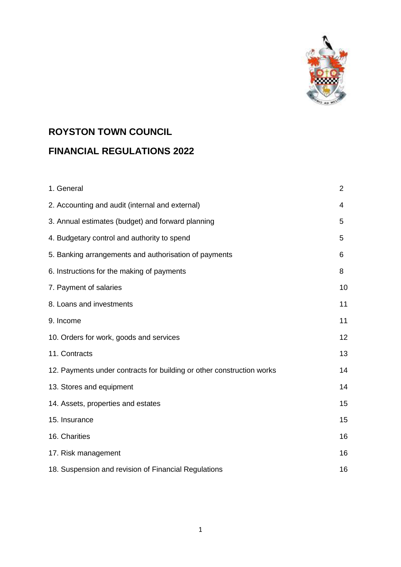

# **ROYSTON TOWN COUNCIL FINANCIAL REGULATIONS 2022**

| 1. General                                                            | $\overline{2}$ |
|-----------------------------------------------------------------------|----------------|
| 2. Accounting and audit (internal and external)                       | 4              |
| 3. Annual estimates (budget) and forward planning                     | 5              |
| 4. Budgetary control and authority to spend                           | 5              |
| 5. Banking arrangements and authorisation of payments                 | 6              |
| 6. Instructions for the making of payments                            | 8              |
| 7. Payment of salaries                                                | 10             |
| 8. Loans and investments                                              | 11             |
| 9. Income                                                             | 11             |
| 10. Orders for work, goods and services                               | 12             |
| 11. Contracts                                                         | 13             |
| 12. Payments under contracts for building or other construction works | 14             |
| 13. Stores and equipment                                              | 14             |
| 14. Assets, properties and estates                                    | 15             |
| 15. Insurance                                                         | 15             |
| 16. Charities                                                         | 16             |
| 17. Risk management                                                   | 16             |
| 18. Suspension and revision of Financial Regulations                  | 16             |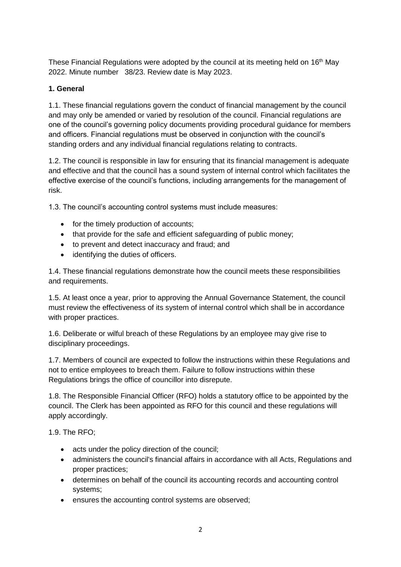These Financial Regulations were adopted by the council at its meeting held on 16<sup>th</sup> May 2022. Minute number 38/23. Review date is May 2023.

## **1. General**

1.1. These financial regulations govern the conduct of financial management by the council and may only be amended or varied by resolution of the council. Financial regulations are one of the council's governing policy documents providing procedural guidance for members and officers. Financial regulations must be observed in conjunction with the council's standing orders and any individual financial regulations relating to contracts.

1.2. The council is responsible in law for ensuring that its financial management is adequate and effective and that the council has a sound system of internal control which facilitates the effective exercise of the council's functions, including arrangements for the management of risk.

1.3. The council's accounting control systems must include measures:

- for the timely production of accounts;
- that provide for the safe and efficient safeguarding of public money;
- to prevent and detect inaccuracy and fraud; and
- identifying the duties of officers.

1.4. These financial regulations demonstrate how the council meets these responsibilities and requirements.

1.5. At least once a year, prior to approving the Annual Governance Statement, the council must review the effectiveness of its system of internal control which shall be in accordance with proper practices.

1.6. Deliberate or wilful breach of these Regulations by an employee may give rise to disciplinary proceedings.

1.7. Members of council are expected to follow the instructions within these Regulations and not to entice employees to breach them. Failure to follow instructions within these Regulations brings the office of councillor into disrepute.

1.8. The Responsible Financial Officer (RFO) holds a statutory office to be appointed by the council. The Clerk has been appointed as RFO for this council and these regulations will apply accordingly.

1.9. The RFO;

- acts under the policy direction of the council;
- administers the council's financial affairs in accordance with all Acts, Regulations and proper practices;
- determines on behalf of the council its accounting records and accounting control systems;
- ensures the accounting control systems are observed;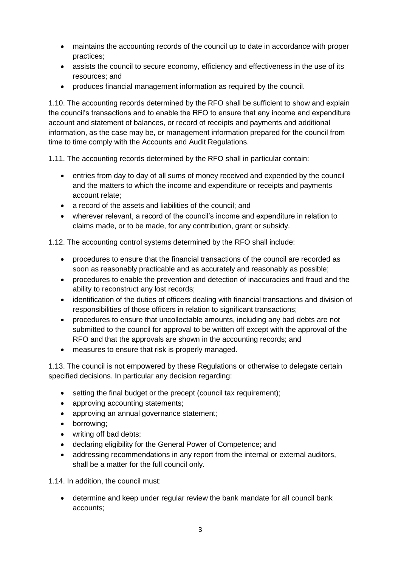- maintains the accounting records of the council up to date in accordance with proper practices;
- assists the council to secure economy, efficiency and effectiveness in the use of its resources; and
- produces financial management information as required by the council.

1.10. The accounting records determined by the RFO shall be sufficient to show and explain the council's transactions and to enable the RFO to ensure that any income and expenditure account and statement of balances, or record of receipts and payments and additional information, as the case may be, or management information prepared for the council from time to time comply with the Accounts and Audit Regulations.

1.11. The accounting records determined by the RFO shall in particular contain:

- entries from day to day of all sums of money received and expended by the council and the matters to which the income and expenditure or receipts and payments account relate;
- a record of the assets and liabilities of the council; and
- wherever relevant, a record of the council's income and expenditure in relation to claims made, or to be made, for any contribution, grant or subsidy.

1.12. The accounting control systems determined by the RFO shall include:

- procedures to ensure that the financial transactions of the council are recorded as soon as reasonably practicable and as accurately and reasonably as possible;
- procedures to enable the prevention and detection of inaccuracies and fraud and the ability to reconstruct any lost records;
- identification of the duties of officers dealing with financial transactions and division of responsibilities of those officers in relation to significant transactions;
- procedures to ensure that uncollectable amounts, including any bad debts are not submitted to the council for approval to be written off except with the approval of the RFO and that the approvals are shown in the accounting records; and
- measures to ensure that risk is properly managed.

1.13. The council is not empowered by these Regulations or otherwise to delegate certain specified decisions. In particular any decision regarding:

- setting the final budget or the precept (council tax requirement);
- approving accounting statements;
- approving an annual governance statement;
- borrowing:
- writing off bad debts;
- declaring eligibility for the General Power of Competence; and
- addressing recommendations in any report from the internal or external auditors, shall be a matter for the full council only.

1.14. In addition, the council must:

 determine and keep under regular review the bank mandate for all council bank accounts;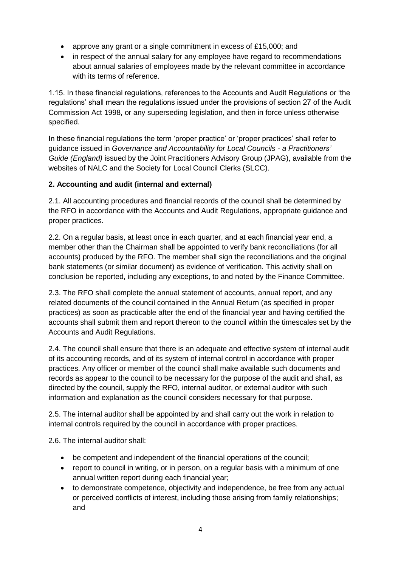- approve any grant or a single commitment in excess of £15,000; and
- in respect of the annual salary for any employee have regard to recommendations about annual salaries of employees made by the relevant committee in accordance with its terms of reference.

1.15. In these financial regulations, references to the Accounts and Audit Regulations or 'the regulations' shall mean the regulations issued under the provisions of section 27 of the Audit Commission Act 1998, or any superseding legislation, and then in force unless otherwise specified.

In these financial regulations the term 'proper practice' or 'proper practices' shall refer to guidance issued in *Governance and Accountability for Local Councils - a Practitioners' Guide (England)* issued by the Joint Practitioners Advisory Group (JPAG), available from the websites of NALC and the Society for Local Council Clerks (SLCC).

### **2. Accounting and audit (internal and external)**

2.1. All accounting procedures and financial records of the council shall be determined by the RFO in accordance with the Accounts and Audit Regulations, appropriate guidance and proper practices.

2.2. On a regular basis, at least once in each quarter, and at each financial year end, a member other than the Chairman shall be appointed to verify bank reconciliations (for all accounts) produced by the RFO. The member shall sign the reconciliations and the original bank statements (or similar document) as evidence of verification. This activity shall on conclusion be reported, including any exceptions, to and noted by the Finance Committee.

2.3. The RFO shall complete the annual statement of accounts, annual report, and any related documents of the council contained in the Annual Return (as specified in proper practices) as soon as practicable after the end of the financial year and having certified the accounts shall submit them and report thereon to the council within the timescales set by the Accounts and Audit Regulations.

2.4. The council shall ensure that there is an adequate and effective system of internal audit of its accounting records, and of its system of internal control in accordance with proper practices. Any officer or member of the council shall make available such documents and records as appear to the council to be necessary for the purpose of the audit and shall, as directed by the council, supply the RFO, internal auditor, or external auditor with such information and explanation as the council considers necessary for that purpose.

2.5. The internal auditor shall be appointed by and shall carry out the work in relation to internal controls required by the council in accordance with proper practices.

2.6. The internal auditor shall:

- be competent and independent of the financial operations of the council;
- report to council in writing, or in person, on a regular basis with a minimum of one annual written report during each financial year;
- to demonstrate competence, objectivity and independence, be free from any actual or perceived conflicts of interest, including those arising from family relationships; and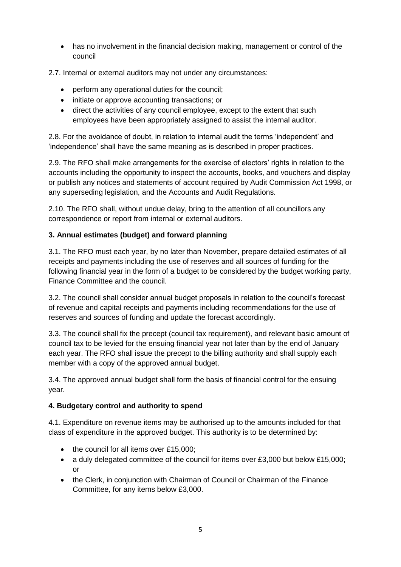has no involvement in the financial decision making, management or control of the council

2.7. Internal or external auditors may not under any circumstances:

- perform any operational duties for the council;
- initiate or approve accounting transactions; or
- direct the activities of any council employee, except to the extent that such employees have been appropriately assigned to assist the internal auditor.

2.8. For the avoidance of doubt, in relation to internal audit the terms 'independent' and 'independence' shall have the same meaning as is described in proper practices.

2.9. The RFO shall make arrangements for the exercise of electors' rights in relation to the accounts including the opportunity to inspect the accounts, books, and vouchers and display or publish any notices and statements of account required by Audit Commission Act 1998, or any superseding legislation, and the Accounts and Audit Regulations.

2.10. The RFO shall, without undue delay, bring to the attention of all councillors any correspondence or report from internal or external auditors.

### **3. Annual estimates (budget) and forward planning**

3.1. The RFO must each year, by no later than November, prepare detailed estimates of all receipts and payments including the use of reserves and all sources of funding for the following financial year in the form of a budget to be considered by the budget working party, Finance Committee and the council.

3.2. The council shall consider annual budget proposals in relation to the council's forecast of revenue and capital receipts and payments including recommendations for the use of reserves and sources of funding and update the forecast accordingly.

3.3. The council shall fix the precept (council tax requirement), and relevant basic amount of council tax to be levied for the ensuing financial year not later than by the end of January each year. The RFO shall issue the precept to the billing authority and shall supply each member with a copy of the approved annual budget.

3.4. The approved annual budget shall form the basis of financial control for the ensuing year.

#### **4. Budgetary control and authority to spend**

4.1. Expenditure on revenue items may be authorised up to the amounts included for that class of expenditure in the approved budget. This authority is to be determined by:

- the council for all items over £15,000;
- a duly delegated committee of the council for items over £3,000 but below £15,000; or
- the Clerk, in conjunction with Chairman of Council or Chairman of the Finance Committee, for any items below £3,000.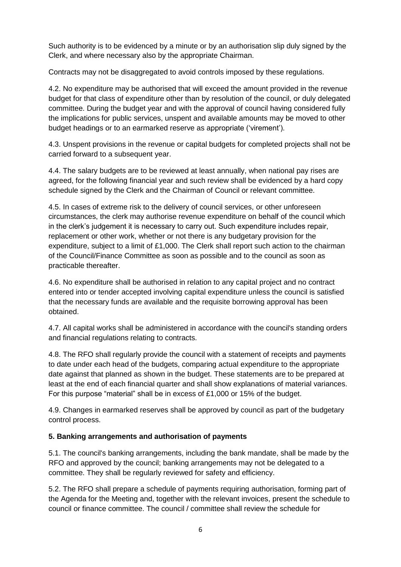Such authority is to be evidenced by a minute or by an authorisation slip duly signed by the Clerk, and where necessary also by the appropriate Chairman.

Contracts may not be disaggregated to avoid controls imposed by these regulations.

4.2. No expenditure may be authorised that will exceed the amount provided in the revenue budget for that class of expenditure other than by resolution of the council, or duly delegated committee. During the budget year and with the approval of council having considered fully the implications for public services, unspent and available amounts may be moved to other budget headings or to an earmarked reserve as appropriate ('virement').

4.3. Unspent provisions in the revenue or capital budgets for completed projects shall not be carried forward to a subsequent year.

4.4. The salary budgets are to be reviewed at least annually, when national pay rises are agreed, for the following financial year and such review shall be evidenced by a hard copy schedule signed by the Clerk and the Chairman of Council or relevant committee.

4.5. In cases of extreme risk to the delivery of council services, or other unforeseen circumstances, the clerk may authorise revenue expenditure on behalf of the council which in the clerk's judgement it is necessary to carry out. Such expenditure includes repair, replacement or other work, whether or not there is any budgetary provision for the expenditure, subject to a limit of £1,000. The Clerk shall report such action to the chairman of the Council/Finance Committee as soon as possible and to the council as soon as practicable thereafter.

4.6. No expenditure shall be authorised in relation to any capital project and no contract entered into or tender accepted involving capital expenditure unless the council is satisfied that the necessary funds are available and the requisite borrowing approval has been obtained.

4.7. All capital works shall be administered in accordance with the council's standing orders and financial regulations relating to contracts.

4.8. The RFO shall regularly provide the council with a statement of receipts and payments to date under each head of the budgets, comparing actual expenditure to the appropriate date against that planned as shown in the budget. These statements are to be prepared at least at the end of each financial quarter and shall show explanations of material variances. For this purpose "material" shall be in excess of £1,000 or 15% of the budget.

4.9. Changes in earmarked reserves shall be approved by council as part of the budgetary control process.

#### **5. Banking arrangements and authorisation of payments**

5.1. The council's banking arrangements, including the bank mandate, shall be made by the RFO and approved by the council; banking arrangements may not be delegated to a committee. They shall be regularly reviewed for safety and efficiency.

5.2. The RFO shall prepare a schedule of payments requiring authorisation, forming part of the Agenda for the Meeting and, together with the relevant invoices, present the schedule to council or finance committee. The council / committee shall review the schedule for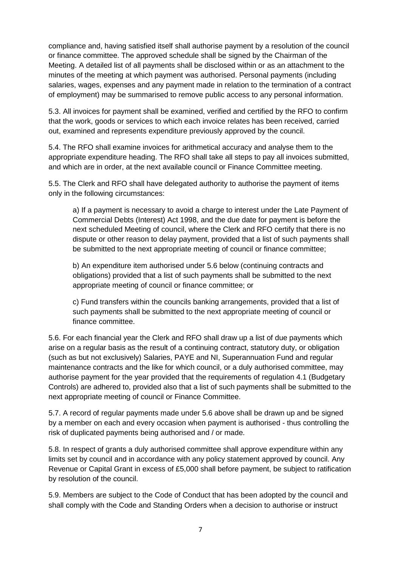compliance and, having satisfied itself shall authorise payment by a resolution of the council or finance committee. The approved schedule shall be signed by the Chairman of the Meeting. A detailed list of all payments shall be disclosed within or as an attachment to the minutes of the meeting at which payment was authorised. Personal payments (including salaries, wages, expenses and any payment made in relation to the termination of a contract of employment) may be summarised to remove public access to any personal information.

5.3. All invoices for payment shall be examined, verified and certified by the RFO to confirm that the work, goods or services to which each invoice relates has been received, carried out, examined and represents expenditure previously approved by the council.

5.4. The RFO shall examine invoices for arithmetical accuracy and analyse them to the appropriate expenditure heading. The RFO shall take all steps to pay all invoices submitted, and which are in order, at the next available council or Finance Committee meeting.

5.5. The Clerk and RFO shall have delegated authority to authorise the payment of items only in the following circumstances:

a) If a payment is necessary to avoid a charge to interest under the Late Payment of Commercial Debts (Interest) Act 1998, and the due date for payment is before the next scheduled Meeting of council, where the Clerk and RFO certify that there is no dispute or other reason to delay payment, provided that a list of such payments shall be submitted to the next appropriate meeting of council or finance committee;

b) An expenditure item authorised under 5.6 below (continuing contracts and obligations) provided that a list of such payments shall be submitted to the next appropriate meeting of council or finance committee; or

c) Fund transfers within the councils banking arrangements, provided that a list of such payments shall be submitted to the next appropriate meeting of council or finance committee.

5.6. For each financial year the Clerk and RFO shall draw up a list of due payments which arise on a regular basis as the result of a continuing contract, statutory duty, or obligation (such as but not exclusively) Salaries, PAYE and NI, Superannuation Fund and regular maintenance contracts and the like for which council, or a duly authorised committee, may authorise payment for the year provided that the requirements of regulation 4.1 (Budgetary Controls) are adhered to, provided also that a list of such payments shall be submitted to the next appropriate meeting of council or Finance Committee.

5.7. A record of regular payments made under 5.6 above shall be drawn up and be signed by a member on each and every occasion when payment is authorised - thus controlling the risk of duplicated payments being authorised and / or made.

5.8. In respect of grants a duly authorised committee shall approve expenditure within any limits set by council and in accordance with any policy statement approved by council. Any Revenue or Capital Grant in excess of £5,000 shall before payment, be subject to ratification by resolution of the council.

5.9. Members are subject to the Code of Conduct that has been adopted by the council and shall comply with the Code and Standing Orders when a decision to authorise or instruct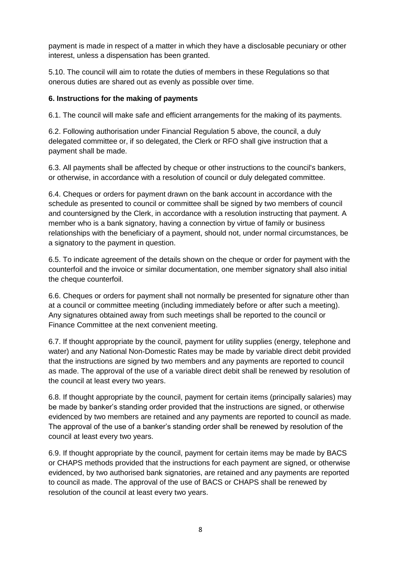payment is made in respect of a matter in which they have a disclosable pecuniary or other interest, unless a dispensation has been granted.

5.10. The council will aim to rotate the duties of members in these Regulations so that onerous duties are shared out as evenly as possible over time.

#### **6. Instructions for the making of payments**

6.1. The council will make safe and efficient arrangements for the making of its payments.

6.2. Following authorisation under Financial Regulation 5 above, the council, a duly delegated committee or, if so delegated, the Clerk or RFO shall give instruction that a payment shall be made.

6.3. All payments shall be affected by cheque or other instructions to the council's bankers, or otherwise, in accordance with a resolution of council or duly delegated committee.

6.4. Cheques or orders for payment drawn on the bank account in accordance with the schedule as presented to council or committee shall be signed by two members of council and countersigned by the Clerk, in accordance with a resolution instructing that payment. A member who is a bank signatory, having a connection by virtue of family or business relationships with the beneficiary of a payment, should not, under normal circumstances, be a signatory to the payment in question.

6.5. To indicate agreement of the details shown on the cheque or order for payment with the counterfoil and the invoice or similar documentation, one member signatory shall also initial the cheque counterfoil.

6.6. Cheques or orders for payment shall not normally be presented for signature other than at a council or committee meeting (including immediately before or after such a meeting). Any signatures obtained away from such meetings shall be reported to the council or Finance Committee at the next convenient meeting.

6.7. If thought appropriate by the council, payment for utility supplies (energy, telephone and water) and any National Non-Domestic Rates may be made by variable direct debit provided that the instructions are signed by two members and any payments are reported to council as made. The approval of the use of a variable direct debit shall be renewed by resolution of the council at least every two years.

6.8. If thought appropriate by the council, payment for certain items (principally salaries) may be made by banker's standing order provided that the instructions are signed, or otherwise evidenced by two members are retained and any payments are reported to council as made. The approval of the use of a banker's standing order shall be renewed by resolution of the council at least every two years.

6.9. If thought appropriate by the council, payment for certain items may be made by BACS or CHAPS methods provided that the instructions for each payment are signed, or otherwise evidenced, by two authorised bank signatories, are retained and any payments are reported to council as made. The approval of the use of BACS or CHAPS shall be renewed by resolution of the council at least every two years.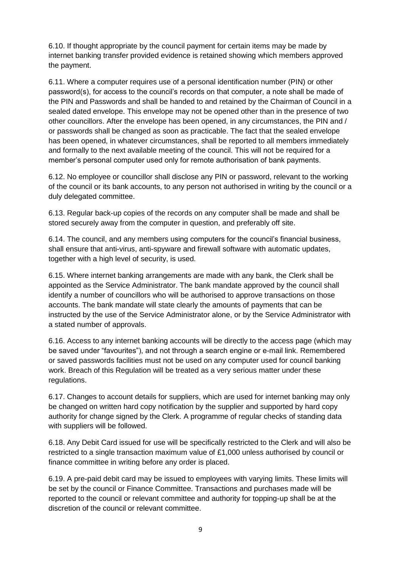6.10. If thought appropriate by the council payment for certain items may be made by internet banking transfer provided evidence is retained showing which members approved the payment.

6.11. Where a computer requires use of a personal identification number (PIN) or other password(s), for access to the council's records on that computer, a note shall be made of the PIN and Passwords and shall be handed to and retained by the Chairman of Council in a sealed dated envelope. This envelope may not be opened other than in the presence of two other councillors. After the envelope has been opened, in any circumstances, the PIN and / or passwords shall be changed as soon as practicable. The fact that the sealed envelope has been opened, in whatever circumstances, shall be reported to all members immediately and formally to the next available meeting of the council. This will not be required for a member's personal computer used only for remote authorisation of bank payments.

6.12. No employee or councillor shall disclose any PIN or password, relevant to the working of the council or its bank accounts, to any person not authorised in writing by the council or a duly delegated committee.

6.13. Regular back-up copies of the records on any computer shall be made and shall be stored securely away from the computer in question, and preferably off site.

6.14. The council, and any members using computers for the council's financial business, shall ensure that anti-virus, anti-spyware and firewall software with automatic updates, together with a high level of security, is used.

6.15. Where internet banking arrangements are made with any bank, the Clerk shall be appointed as the Service Administrator. The bank mandate approved by the council shall identify a number of councillors who will be authorised to approve transactions on those accounts. The bank mandate will state clearly the amounts of payments that can be instructed by the use of the Service Administrator alone, or by the Service Administrator with a stated number of approvals.

6.16. Access to any internet banking accounts will be directly to the access page (which may be saved under "favourites"), and not through a search engine or e-mail link. Remembered or saved passwords facilities must not be used on any computer used for council banking work. Breach of this Regulation will be treated as a very serious matter under these regulations.

6.17. Changes to account details for suppliers, which are used for internet banking may only be changed on written hard copy notification by the supplier and supported by hard copy authority for change signed by the Clerk. A programme of regular checks of standing data with suppliers will be followed.

6.18. Any Debit Card issued for use will be specifically restricted to the Clerk and will also be restricted to a single transaction maximum value of £1,000 unless authorised by council or finance committee in writing before any order is placed.

6.19. A pre-paid debit card may be issued to employees with varying limits. These limits will be set by the council or Finance Committee. Transactions and purchases made will be reported to the council or relevant committee and authority for topping-up shall be at the discretion of the council or relevant committee.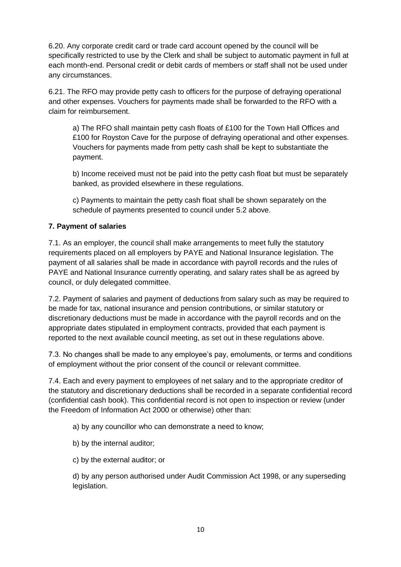6.20. Any corporate credit card or trade card account opened by the council will be specifically restricted to use by the Clerk and shall be subject to automatic payment in full at each month-end. Personal credit or debit cards of members or staff shall not be used under any circumstances.

6.21. The RFO may provide petty cash to officers for the purpose of defraying operational and other expenses. Vouchers for payments made shall be forwarded to the RFO with a claim for reimbursement.

a) The RFO shall maintain petty cash floats of £100 for the Town Hall Offices and £100 for Royston Cave for the purpose of defraying operational and other expenses. Vouchers for payments made from petty cash shall be kept to substantiate the payment.

b) Income received must not be paid into the petty cash float but must be separately banked, as provided elsewhere in these regulations.

c) Payments to maintain the petty cash float shall be shown separately on the schedule of payments presented to council under 5.2 above.

### **7. Payment of salaries**

7.1. As an employer, the council shall make arrangements to meet fully the statutory requirements placed on all employers by PAYE and National Insurance legislation. The payment of all salaries shall be made in accordance with payroll records and the rules of PAYE and National Insurance currently operating, and salary rates shall be as agreed by council, or duly delegated committee.

7.2. Payment of salaries and payment of deductions from salary such as may be required to be made for tax, national insurance and pension contributions, or similar statutory or discretionary deductions must be made in accordance with the payroll records and on the appropriate dates stipulated in employment contracts, provided that each payment is reported to the next available council meeting, as set out in these regulations above.

7.3. No changes shall be made to any employee's pay, emoluments, or terms and conditions of employment without the prior consent of the council or relevant committee.

7.4. Each and every payment to employees of net salary and to the appropriate creditor of the statutory and discretionary deductions shall be recorded in a separate confidential record (confidential cash book). This confidential record is not open to inspection or review (under the Freedom of Information Act 2000 or otherwise) other than:

a) by any councillor who can demonstrate a need to know;

- b) by the internal auditor;
- c) by the external auditor; or

d) by any person authorised under Audit Commission Act 1998, or any superseding legislation.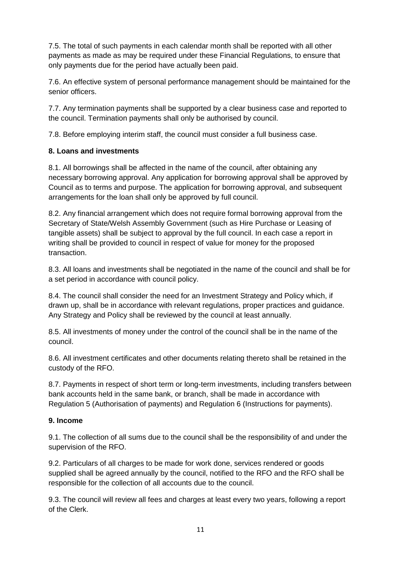7.5. The total of such payments in each calendar month shall be reported with all other payments as made as may be required under these Financial Regulations, to ensure that only payments due for the period have actually been paid.

7.6. An effective system of personal performance management should be maintained for the senior officers.

7.7. Any termination payments shall be supported by a clear business case and reported to the council. Termination payments shall only be authorised by council.

7.8. Before employing interim staff, the council must consider a full business case.

#### **8. Loans and investments**

8.1. All borrowings shall be affected in the name of the council, after obtaining any necessary borrowing approval. Any application for borrowing approval shall be approved by Council as to terms and purpose. The application for borrowing approval, and subsequent arrangements for the loan shall only be approved by full council.

8.2. Any financial arrangement which does not require formal borrowing approval from the Secretary of State/Welsh Assembly Government (such as Hire Purchase or Leasing of tangible assets) shall be subject to approval by the full council. In each case a report in writing shall be provided to council in respect of value for money for the proposed transaction.

8.3. All loans and investments shall be negotiated in the name of the council and shall be for a set period in accordance with council policy.

8.4. The council shall consider the need for an Investment Strategy and Policy which, if drawn up, shall be in accordance with relevant regulations, proper practices and guidance. Any Strategy and Policy shall be reviewed by the council at least annually.

8.5. All investments of money under the control of the council shall be in the name of the council.

8.6. All investment certificates and other documents relating thereto shall be retained in the custody of the RFO.

8.7. Payments in respect of short term or long-term investments, including transfers between bank accounts held in the same bank, or branch, shall be made in accordance with Regulation 5 (Authorisation of payments) and Regulation 6 (Instructions for payments).

#### **9. Income**

9.1. The collection of all sums due to the council shall be the responsibility of and under the supervision of the RFO.

9.2. Particulars of all charges to be made for work done, services rendered or goods supplied shall be agreed annually by the council, notified to the RFO and the RFO shall be responsible for the collection of all accounts due to the council.

9.3. The council will review all fees and charges at least every two years, following a report of the Clerk.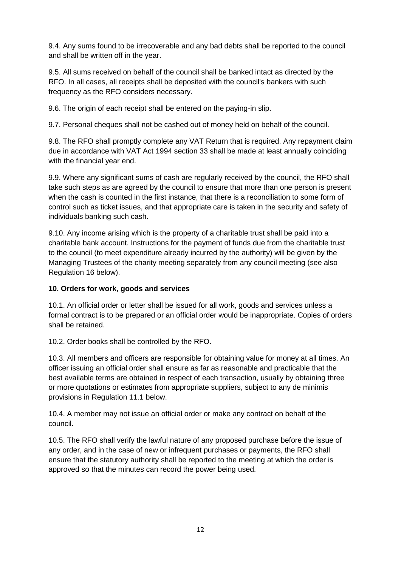9.4. Any sums found to be irrecoverable and any bad debts shall be reported to the council and shall be written off in the year.

9.5. All sums received on behalf of the council shall be banked intact as directed by the RFO. In all cases, all receipts shall be deposited with the council's bankers with such frequency as the RFO considers necessary.

9.6. The origin of each receipt shall be entered on the paying-in slip.

9.7. Personal cheques shall not be cashed out of money held on behalf of the council.

9.8. The RFO shall promptly complete any VAT Return that is required. Any repayment claim due in accordance with VAT Act 1994 section 33 shall be made at least annually coinciding with the financial year end.

9.9. Where any significant sums of cash are regularly received by the council, the RFO shall take such steps as are agreed by the council to ensure that more than one person is present when the cash is counted in the first instance, that there is a reconciliation to some form of control such as ticket issues, and that appropriate care is taken in the security and safety of individuals banking such cash.

9.10. Any income arising which is the property of a charitable trust shall be paid into a charitable bank account. Instructions for the payment of funds due from the charitable trust to the council (to meet expenditure already incurred by the authority) will be given by the Managing Trustees of the charity meeting separately from any council meeting (see also Regulation 16 below).

#### **10. Orders for work, goods and services**

10.1. An official order or letter shall be issued for all work, goods and services unless a formal contract is to be prepared or an official order would be inappropriate. Copies of orders shall be retained.

10.2. Order books shall be controlled by the RFO.

10.3. All members and officers are responsible for obtaining value for money at all times. An officer issuing an official order shall ensure as far as reasonable and practicable that the best available terms are obtained in respect of each transaction, usually by obtaining three or more quotations or estimates from appropriate suppliers, subject to any de minimis provisions in Regulation 11.1 below.

10.4. A member may not issue an official order or make any contract on behalf of the council.

10.5. The RFO shall verify the lawful nature of any proposed purchase before the issue of any order, and in the case of new or infrequent purchases or payments, the RFO shall ensure that the statutory authority shall be reported to the meeting at which the order is approved so that the minutes can record the power being used.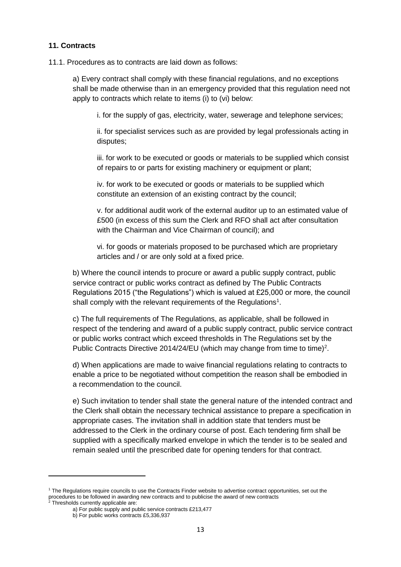#### **11. Contracts**

11.1. Procedures as to contracts are laid down as follows:

a) Every contract shall comply with these financial regulations, and no exceptions shall be made otherwise than in an emergency provided that this regulation need not apply to contracts which relate to items (i) to (vi) below:

i. for the supply of gas, electricity, water, sewerage and telephone services;

ii. for specialist services such as are provided by legal professionals acting in disputes;

iii. for work to be executed or goods or materials to be supplied which consist of repairs to or parts for existing machinery or equipment or plant;

iv. for work to be executed or goods or materials to be supplied which constitute an extension of an existing contract by the council;

v. for additional audit work of the external auditor up to an estimated value of £500 (in excess of this sum the Clerk and RFO shall act after consultation with the Chairman and Vice Chairman of council); and

vi. for goods or materials proposed to be purchased which are proprietary articles and / or are only sold at a fixed price.

b) Where the council intends to procure or award a public supply contract, public service contract or public works contract as defined by The Public Contracts Regulations 2015 ("the Regulations") which is valued at £25,000 or more, the council shall comply with the relevant requirements of the Regulations<sup>1</sup>.

c) The full requirements of The Regulations, as applicable, shall be followed in respect of the tendering and award of a public supply contract, public service contract or public works contract which exceed thresholds in The Regulations set by the Public Contracts Directive 2014/24/EU (which may change from time to time)<sup>2</sup>.

d) When applications are made to waive financial regulations relating to contracts to enable a price to be negotiated without competition the reason shall be embodied in a recommendation to the council.

e) Such invitation to tender shall state the general nature of the intended contract and the Clerk shall obtain the necessary technical assistance to prepare a specification in appropriate cases. The invitation shall in addition state that tenders must be addressed to the Clerk in the ordinary course of post. Each tendering firm shall be supplied with a specifically marked envelope in which the tender is to be sealed and remain sealed until the prescribed date for opening tenders for that contract.

**.** 

<sup>1</sup> The Regulations require councils to use the Contracts Finder website to advertise contract opportunities, set out the procedures to be followed in awarding new contracts and to publicise the award of new contracts

 $2$  Thresholds currently applicable are:

a) For public supply and public service contracts £213,477

b) For public works contracts £5,336,937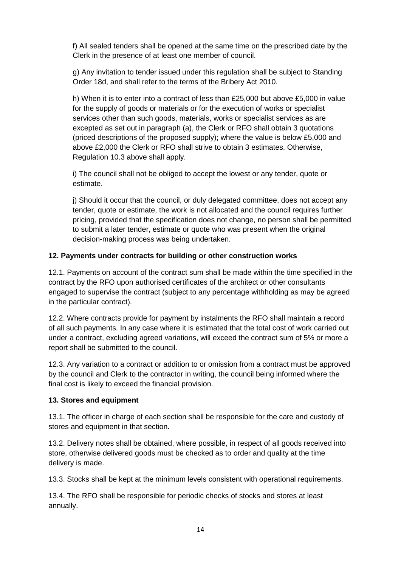f) All sealed tenders shall be opened at the same time on the prescribed date by the Clerk in the presence of at least one member of council.

g) Any invitation to tender issued under this regulation shall be subject to Standing Order 18d, and shall refer to the terms of the Bribery Act 2010.

h) When it is to enter into a contract of less than £25,000 but above £5,000 in value for the supply of goods or materials or for the execution of works or specialist services other than such goods, materials, works or specialist services as are excepted as set out in paragraph (a), the Clerk or RFO shall obtain 3 quotations (priced descriptions of the proposed supply); where the value is below £5,000 and above £2,000 the Clerk or RFO shall strive to obtain 3 estimates. Otherwise, Regulation 10.3 above shall apply.

i) The council shall not be obliged to accept the lowest or any tender, quote or estimate.

j) Should it occur that the council, or duly delegated committee, does not accept any tender, quote or estimate, the work is not allocated and the council requires further pricing, provided that the specification does not change, no person shall be permitted to submit a later tender, estimate or quote who was present when the original decision-making process was being undertaken.

#### **12. Payments under contracts for building or other construction works**

12.1. Payments on account of the contract sum shall be made within the time specified in the contract by the RFO upon authorised certificates of the architect or other consultants engaged to supervise the contract (subject to any percentage withholding as may be agreed in the particular contract).

12.2. Where contracts provide for payment by instalments the RFO shall maintain a record of all such payments. In any case where it is estimated that the total cost of work carried out under a contract, excluding agreed variations, will exceed the contract sum of 5% or more a report shall be submitted to the council.

12.3. Any variation to a contract or addition to or omission from a contract must be approved by the council and Clerk to the contractor in writing, the council being informed where the final cost is likely to exceed the financial provision.

#### **13. Stores and equipment**

13.1. The officer in charge of each section shall be responsible for the care and custody of stores and equipment in that section.

13.2. Delivery notes shall be obtained, where possible, in respect of all goods received into store, otherwise delivered goods must be checked as to order and quality at the time delivery is made.

13.3. Stocks shall be kept at the minimum levels consistent with operational requirements.

13.4. The RFO shall be responsible for periodic checks of stocks and stores at least annually.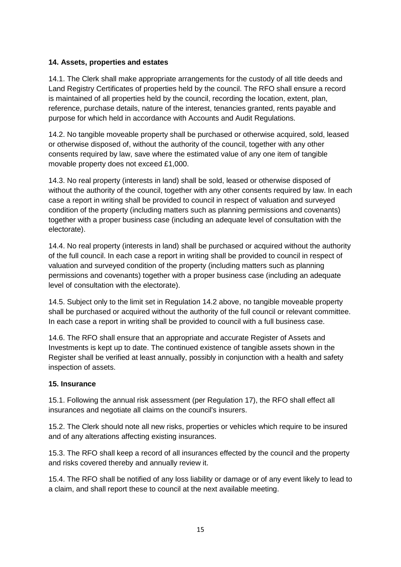#### **14. Assets, properties and estates**

14.1. The Clerk shall make appropriate arrangements for the custody of all title deeds and Land Registry Certificates of properties held by the council. The RFO shall ensure a record is maintained of all properties held by the council, recording the location, extent, plan, reference, purchase details, nature of the interest, tenancies granted, rents payable and purpose for which held in accordance with Accounts and Audit Regulations.

14.2. No tangible moveable property shall be purchased or otherwise acquired, sold, leased or otherwise disposed of, without the authority of the council, together with any other consents required by law, save where the estimated value of any one item of tangible movable property does not exceed £1,000.

14.3. No real property (interests in land) shall be sold, leased or otherwise disposed of without the authority of the council, together with any other consents required by law. In each case a report in writing shall be provided to council in respect of valuation and surveyed condition of the property (including matters such as planning permissions and covenants) together with a proper business case (including an adequate level of consultation with the electorate).

14.4. No real property (interests in land) shall be purchased or acquired without the authority of the full council. In each case a report in writing shall be provided to council in respect of valuation and surveyed condition of the property (including matters such as planning permissions and covenants) together with a proper business case (including an adequate level of consultation with the electorate).

14.5. Subject only to the limit set in Regulation 14.2 above, no tangible moveable property shall be purchased or acquired without the authority of the full council or relevant committee. In each case a report in writing shall be provided to council with a full business case.

14.6. The RFO shall ensure that an appropriate and accurate Register of Assets and Investments is kept up to date. The continued existence of tangible assets shown in the Register shall be verified at least annually, possibly in conjunction with a health and safety inspection of assets.

#### **15. Insurance**

15.1. Following the annual risk assessment (per Regulation 17), the RFO shall effect all insurances and negotiate all claims on the council's insurers.

15.2. The Clerk should note all new risks, properties or vehicles which require to be insured and of any alterations affecting existing insurances.

15.3. The RFO shall keep a record of all insurances effected by the council and the property and risks covered thereby and annually review it.

15.4. The RFO shall be notified of any loss liability or damage or of any event likely to lead to a claim, and shall report these to council at the next available meeting.